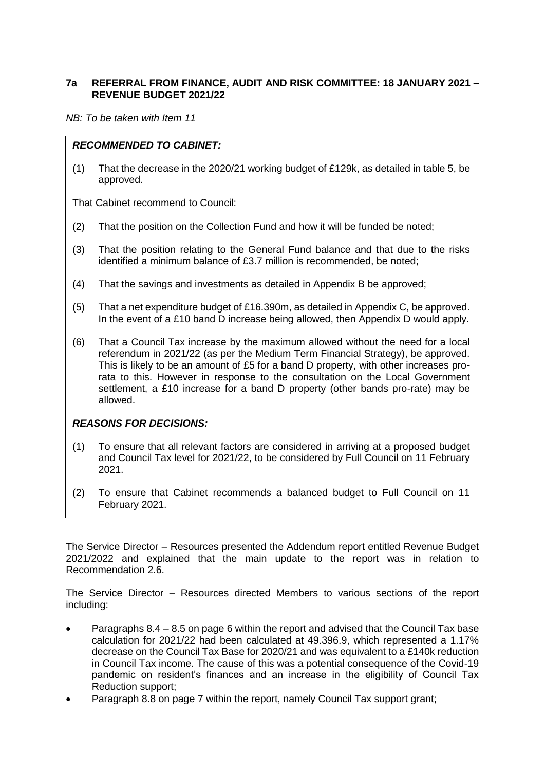# **7a REFERRAL FROM FINANCE, AUDIT AND RISK COMMITTEE: 18 JANUARY 2021 – REVENUE BUDGET 2021/22**

*NB: To be taken with Item 11*

## *RECOMMENDED TO CABINET:*

(1) That the decrease in the 2020/21 working budget of £129k, as detailed in table 5, be approved.

That Cabinet recommend to Council:

- (2) That the position on the Collection Fund and how it will be funded be noted;
- (3) That the position relating to the General Fund balance and that due to the risks identified a minimum balance of £3.7 million is recommended, be noted;
- (4) That the savings and investments as detailed in Appendix B be approved;
- (5) That a net expenditure budget of £16.390m, as detailed in Appendix C, be approved. In the event of a £10 band D increase being allowed, then Appendix D would apply.
- (6) That a Council Tax increase by the maximum allowed without the need for a local referendum in 2021/22 (as per the Medium Term Financial Strategy), be approved. This is likely to be an amount of £5 for a band D property, with other increases prorata to this. However in response to the consultation on the Local Government settlement, a £10 increase for a band D property (other bands pro-rate) may be allowed.

### *REASONS FOR DECISIONS:*

- (1) To ensure that all relevant factors are considered in arriving at a proposed budget and Council Tax level for 2021/22, to be considered by Full Council on 11 February 2021.
- (2) To ensure that Cabinet recommends a balanced budget to Full Council on 11 February 2021.

The Service Director – Resources presented the Addendum report entitled Revenue Budget 2021/2022 and explained that the main update to the report was in relation to Recommendation 2.6.

The Service Director – Resources directed Members to various sections of the report including:

- Paragraphs 8.4 8.5 on page 6 within the report and advised that the Council Tax base calculation for 2021/22 had been calculated at 49.396.9, which represented a 1.17% decrease on the Council Tax Base for 2020/21 and was equivalent to a £140k reduction in Council Tax income. The cause of this was a potential consequence of the Covid-19 pandemic on resident's finances and an increase in the eligibility of Council Tax Reduction support;
- Paragraph 8.8 on page 7 within the report, namely Council Tax support grant;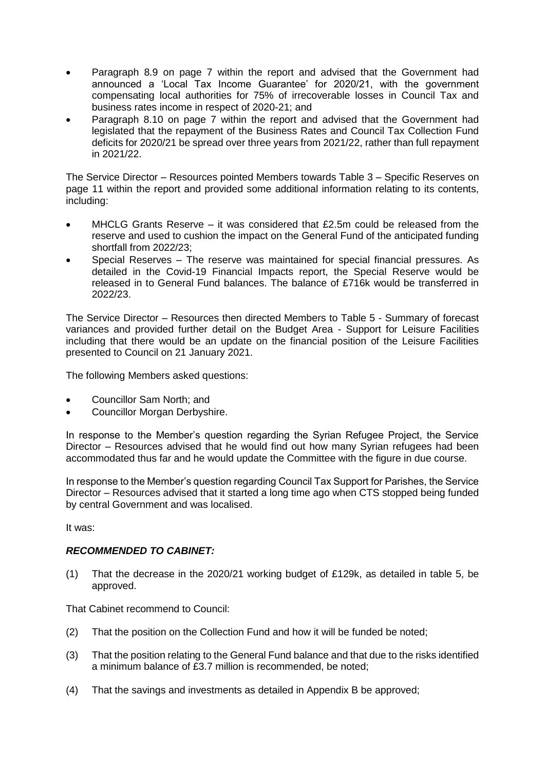- Paragraph 8.9 on page 7 within the report and advised that the Government had announced a 'Local Tax Income Guarantee' for 2020/21, with the government compensating local authorities for 75% of irrecoverable losses in Council Tax and business rates income in respect of 2020-21; and
- Paragraph 8.10 on page 7 within the report and advised that the Government had legislated that the repayment of the Business Rates and Council Tax Collection Fund deficits for 2020/21 be spread over three years from 2021/22, rather than full repayment in 2021/22.

The Service Director – Resources pointed Members towards Table 3 – Specific Reserves on page 11 within the report and provided some additional information relating to its contents, including:

- MHCLG Grants Reserve it was considered that £2.5m could be released from the reserve and used to cushion the impact on the General Fund of the anticipated funding shortfall from 2022/23;
- Special Reserves The reserve was maintained for special financial pressures. As detailed in the Covid-19 Financial Impacts report, the Special Reserve would be released in to General Fund balances. The balance of £716k would be transferred in 2022/23.

The Service Director – Resources then directed Members to Table 5 - Summary of forecast variances and provided further detail on the Budget Area - Support for Leisure Facilities including that there would be an update on the financial position of the Leisure Facilities presented to Council on 21 January 2021.

The following Members asked questions:

- Councillor Sam North; and
- Councillor Morgan Derbyshire.

In response to the Member's question regarding the Syrian Refugee Project, the Service Director – Resources advised that he would find out how many Syrian refugees had been accommodated thus far and he would update the Committee with the figure in due course.

In response to the Member's question regarding Council Tax Support for Parishes, the Service Director – Resources advised that it started a long time ago when CTS stopped being funded by central Government and was localised.

It was:

### *RECOMMENDED TO CABINET:*

(1) That the decrease in the 2020/21 working budget of £129k, as detailed in table 5, be approved.

That Cabinet recommend to Council:

- (2) That the position on the Collection Fund and how it will be funded be noted;
- (3) That the position relating to the General Fund balance and that due to the risks identified a minimum balance of £3.7 million is recommended, be noted;
- (4) That the savings and investments as detailed in Appendix B be approved;